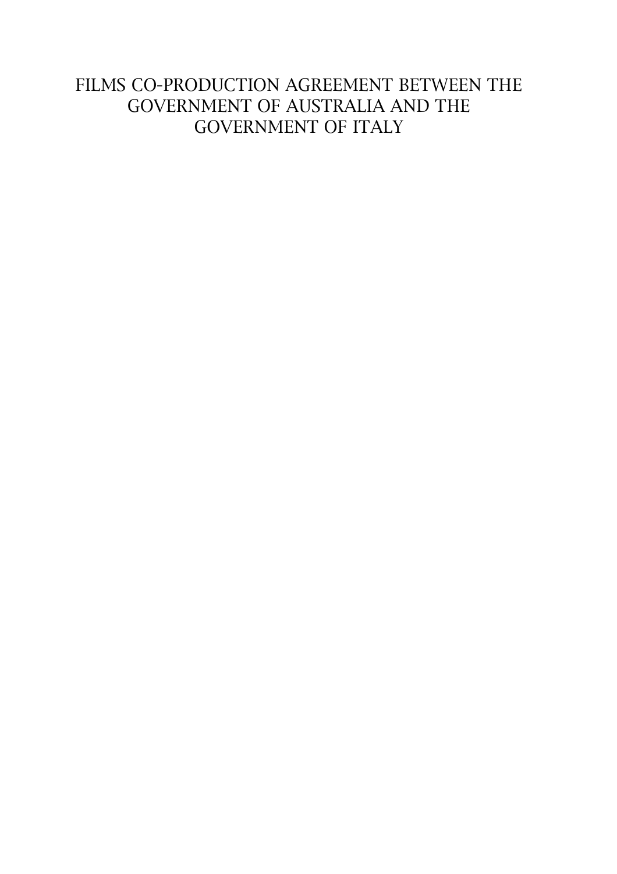# FILMS CO-PRODUCTION AGREEMENT BETWEEN THE GOVERNMENT OF AUSTRALIA AND THE GOVERNMENT OF ITALY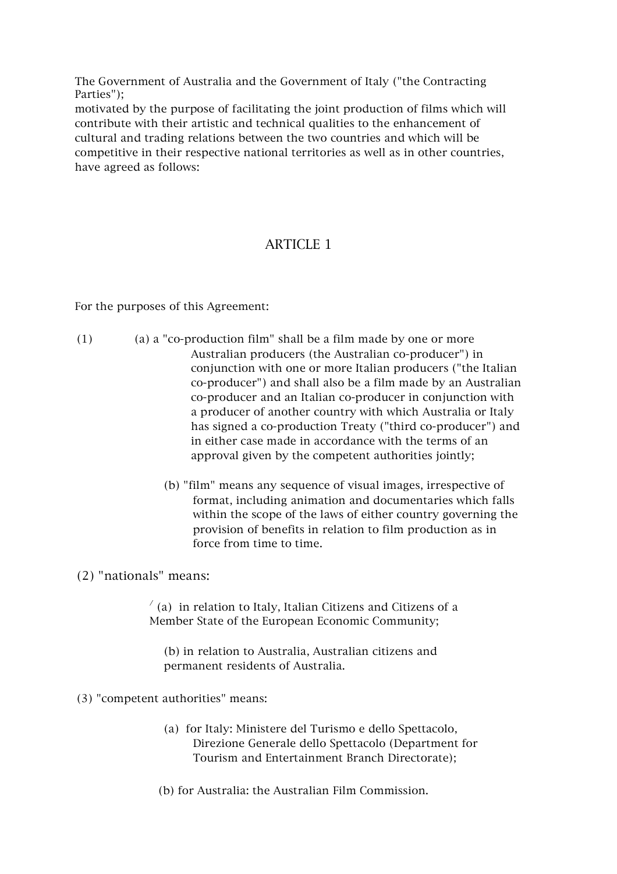The Government of Australia and the Government of Italy ("the Contracting Parties");

motivated by the purpose of facilitating the joint production of films which will contribute with their artistic and technical qualities to the enhancement of cultural and trading relations between the two countries and which will be competitive in their respective national territories as well as in other countries, have agreed as follows:

# ARTICLE 1

For the purposes of this Agreement:

- (1) (a) a "co-production film" shall be a film made by one or more Australian producers (the Australian co-producer") in conjunction with one or more Italian producers ("the Italian co-producer") and shall also be a film made by an Australian co-producer and an Italian co-producer in conjunction with a producer of another country with which Australia or Italy has signed a co-production Treaty ("third co-producer") and in either case made in accordance with the terms of an approval given by the competent authorities jointly;
	- (b) "film" means any sequence of visual images, irrespective of format, including animation and documentaries which falls within the scope of the laws of either country governing the provision of benefits in relation to film production as in force from time to time.

#### (2) "nationals" means:

 $\prime$  (a) in relation to Italy, Italian Citizens and Citizens of a Member State of the European Economic Community;

(b) in relation to Australia, Australian citizens and permanent residents of Australia.

- (3) "competent authorities" means:
	- (a) for Italy: Ministere del Turismo e dello Spettacolo, Direzione Generale dello Spettacolo (Department for Tourism and Entertainment Branch Directorate);
	- (b) for Australia: the Australian Film Commission.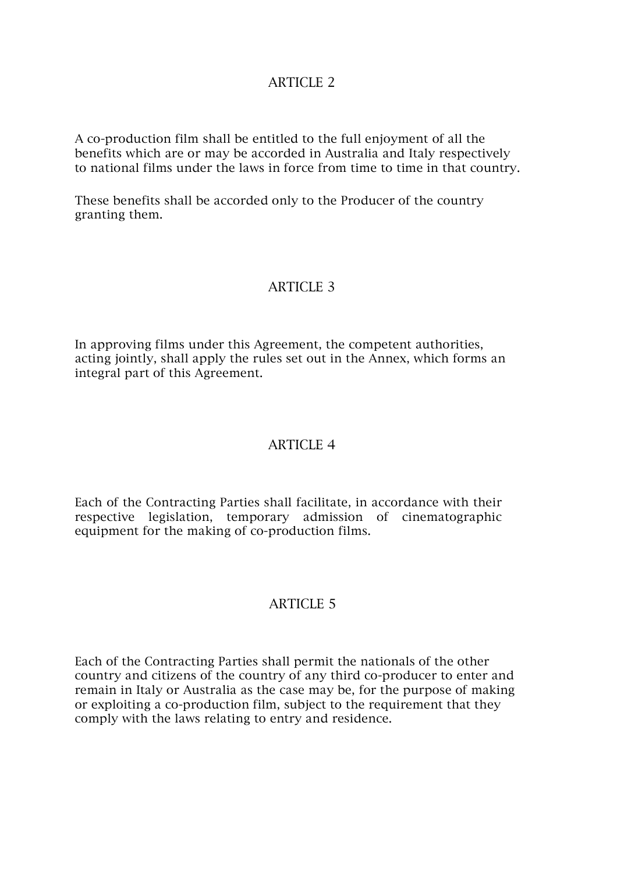# ARTICLE 2

A co-production film shall be entitled to the full enjoyment of all the benefits which are or may be accorded in Australia and Italy respectively to national films under the laws in force from time to time in that country.

These benefits shall be accorded only to the Producer of the country granting them.

### ARTICLE 3

In approving films under this Agreement, the competent authorities, acting jointly, shall apply the rules set out in the Annex, which forms an integral part of this Agreement.

## ARTICLE 4

Each of the Contracting Parties shall facilitate, in accordance with their respective legislation, temporary admission of cinematographic equipment for the making of co-production films.

## ARTICLE 5

Each of the Contracting Parties shall permit the nationals of the other country and citizens of the country of any third co-producer to enter and remain in Italy or Australia as the case may be, for the purpose of making or exploiting a co-production film, subject to the requirement that they comply with the laws relating to entry and residence.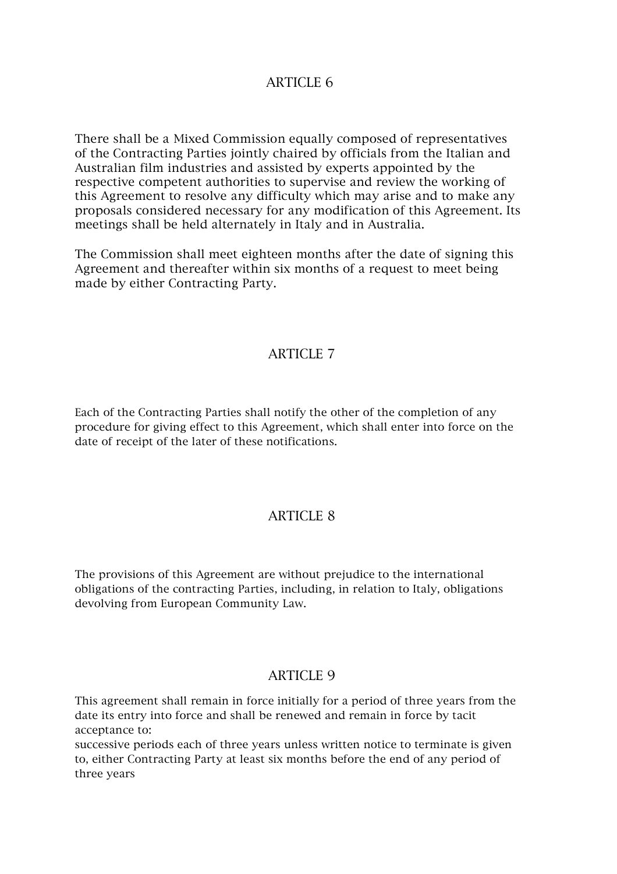# ARTICLE 6

There shall be a Mixed Commission equally composed of representatives of the Contracting Parties jointly chaired by officials from the Italian and Australian film industries and assisted by experts appointed by the respective competent authorities to supervise and review the working of this Agreement to resolve any difficulty which may arise and to make any proposals considered necessary for any modification of this Agreement. Its meetings shall be held alternately in Italy and in Australia.

The Commission shall meet eighteen months after the date of signing this Agreement and thereafter within six months of a request to meet being made by either Contracting Party.

#### ARTICLE 7

Each of the Contracting Parties shall notify the other of the completion of any procedure for giving effect to this Agreement, which shall enter into force on the date of receipt of the later of these notifications.

## ARTICLE 8

The provisions of this Agreement are without prejudice to the international obligations of the contracting Parties, including, in relation to Italy, obligations devolving from European Community Law.

#### ARTICLE 9

This agreement shall remain in force initially for a period of three years from the date its entry into force and shall be renewed and remain in force by tacit acceptance to:

successive periods each of three years unless written notice to terminate is given to, either Contracting Party at least six months before the end of any period of three years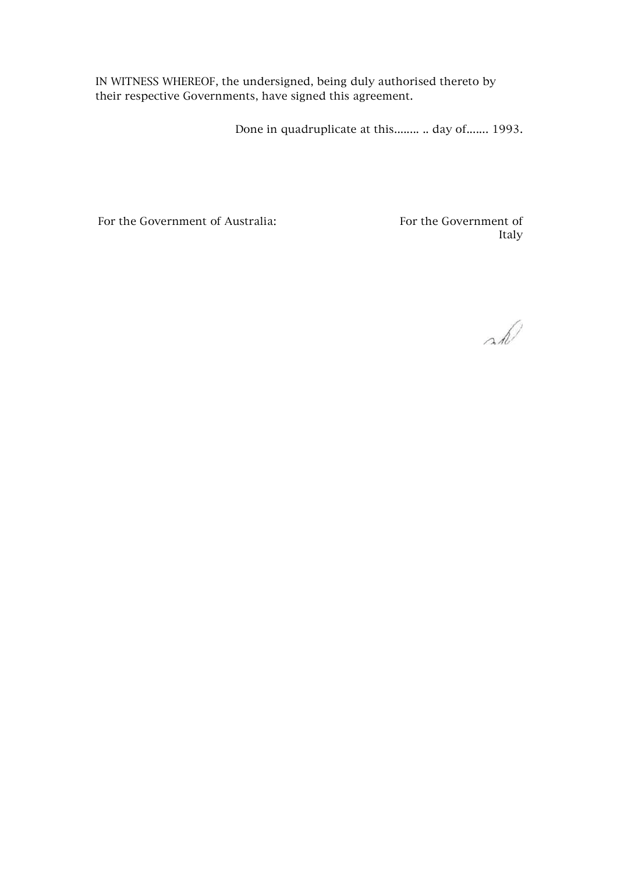IN WITNESS WHEREOF, the undersigned, being duly authorised thereto by their respective Governments, have signed this agreement.

Done in quadruplicate at this........ .. day of....... 1993.

For the Government of Australia: For the Government of

Italy

 $\Delta h^2$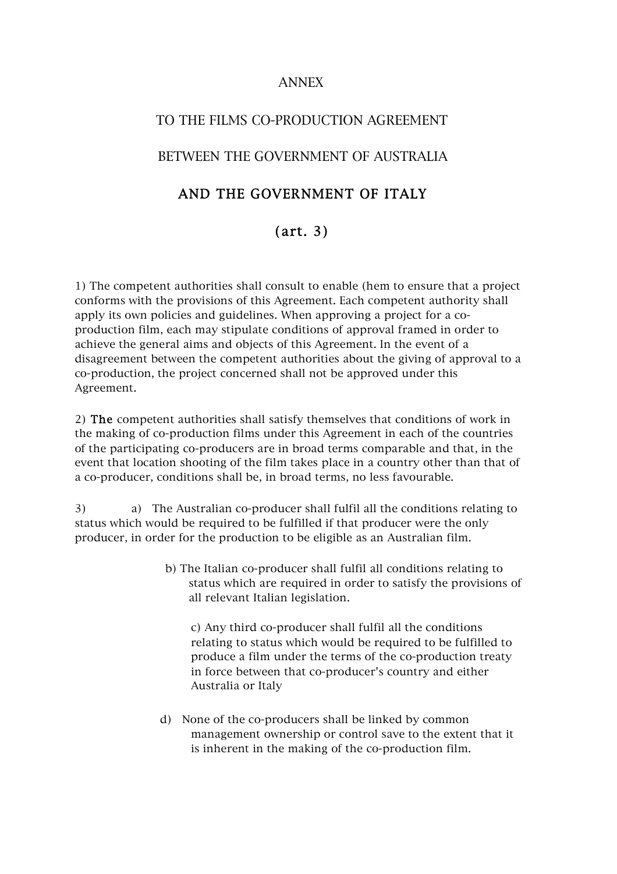# ANNEX

# TO THE FILMS CO-PRODUCTION AGREEMENT

## BETWEEN THE GOVERNMENT OF AUSTRALIA

# AND THE GOVERNMENT OF ITALY

# (art. 3)

1) The competent authorities shall consult to enable (hem to ensure that a project conforms with the provisions of this Agreement. Each competent authority shall apply its own policies and guidelines. When approving a project for a coproduction film, each may stipulate conditions of approval framed in order to achieve the general aims and objects of this Agreement. In the event of a disagreement between the competent authorities about the giving of approval to a co-production, the project concerned shall not be approved under this Agreement.

2) The competent authorities shall satisfy themselves that conditions of work in the making of co-production films under this Agreement in each of the countries of the participating co-producers are in broad terms comparable and that, in the event that location shooting of the film takes place in a country other than that of a co-producer, conditions shall be, in broad terms, no less favourable.

3) a) The Australian co-producer shall fulfil all the conditions relating to status which would be required to be fulfilled if that producer were the only producer, in order for the production to be eligible as an Australian film.

> b) The Italian co-producer shall fulfil all conditions relating to status which are required in order to satisfy the provisions of all relevant Italian legislation.

c) Any third co-producer shall fulfil all the conditions relating to status which would be required to be fulfilled to produce a film under the terms of the co-production treaty in force between that co-producer's country and either Australia or Italy

d) None of the co-producers shall be linked by common management ownership or control save to the extent that it is inherent in the making of the co-production film.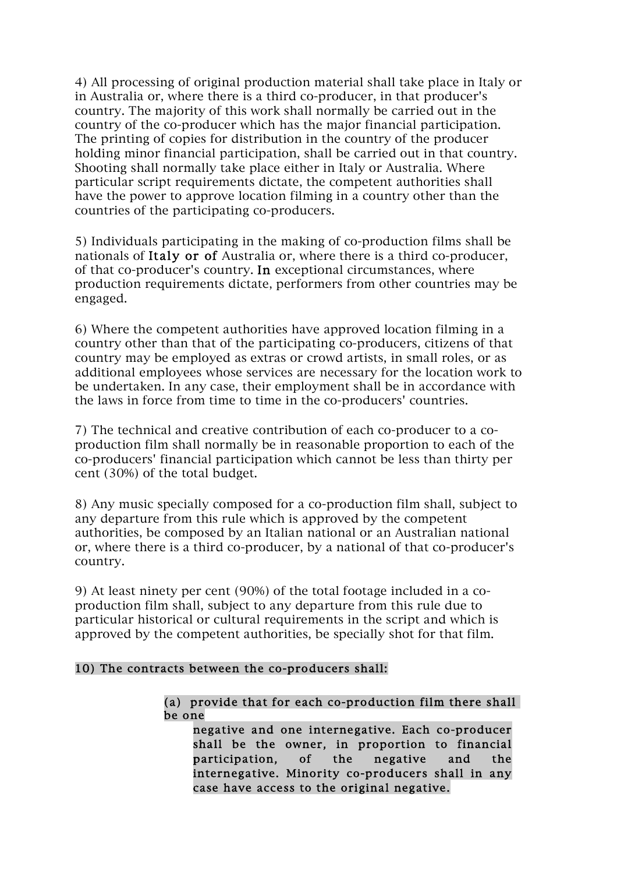4) All processing of original production material shall take place in Italy or in Australia or, where there is a third co-producer, in that producer's country. The majority of this work shall normally be carried out in the country of the co-producer which has the major financial participation. The printing of copies for distribution in the country of the producer holding minor financial participation, shall be carried out in that country. Shooting shall normally take place either in Italy or Australia. Where particular script requirements dictate, the competent authorities shall have the power to approve location filming in a country other than the countries of the participating co-producers.

5) Individuals participating in the making of co-production films shall be nationals of Italy or of Australia or, where there is a third co-producer, of that co-producer's country. In exceptional circumstances, where production requirements dictate, performers from other countries may be engaged.

6) Where the competent authorities have approved location filming in a country other than that of the participating co-producers, citizens of that country may be employed as extras or crowd artists, in small roles, or as additional employees whose services are necessary for the location work to be undertaken. In any case, their employment shall be in accordance with the laws in force from time to time in the co-producers' countries.

7) The technical and creative contribution of each co-producer to a coproduction film shall normally be in reasonable proportion to each of the co-producers' financial participation which cannot be less than thirty per cent (30%) of the total budget.

8) Any music specially composed for a co-production film shall, subject to any departure from this rule which is approved by the competent authorities, be composed by an Italian national or an Australian national or, where there is a third co-producer, by a national of that co-producer's country.

9) At least ninety per cent (90%) of the total footage included in a coproduction film shall, subject to any departure from this rule due to particular historical or cultural requirements in the script and which is approved by the competent authorities, be specially shot for that film.

#### 10) The contracts between the co-producers shall:

#### (a) provide that for each co-production film there shall be one

negative and one internegative. Each co-producer shall be the owner, in proportion to financial participation, of the negative and the internegative. Minority co-producers shall in any case have access to the original negative.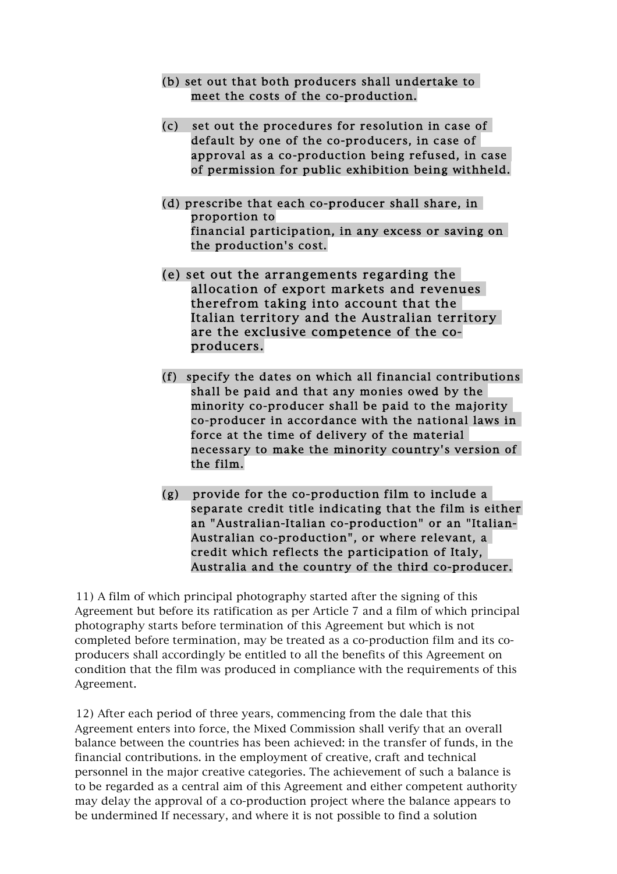- (b) set out that both producers shall undertake to meet the costs of the co-production.
- $(c)$  set out the procedures for resolution in case of default by one of the co-producers, in case of approval as a co-production being refused, in case of permission for public exhibition being withheld.
- (d) prescribe that each co-producer shall share, in proportion to financial participation, in any excess or saving on the production's cost.
- (e) set out the arrangements regarding the allocation of export markets and revenues therefrom taking into account that the Italian territory and the Australian territory are the exclusive competence of the coproducers.
- $(f)$  specify the dates on which all financial contributions shall be paid and that any monies owed by the minority co-producer shall be paid to the majority co-producer in accordance with the national laws in force at the time of delivery of the material necessary to make the minority country's version of the film.
- $(g)$  provide for the co-production film to include a separate credit title indicating that the film is either an "Australian-Italian co-production" or an "Italian-Australian co-production", or where relevant, a credit which reflects the participation of Italy, Australia and the country of the third co-producer.

11) A film of which principal photography started after the signing of this Agreement but before its ratification as per Article 7 and a film of which principal photography starts before termination of this Agreement but which is not completed before termination, may be treated as a co-production film and its coproducers shall accordingly be entitled to all the benefits of this Agreement on condition that the film was produced in compliance with the requirements of this Agreement.

12) After each period of three years, commencing from the dale that this Agreement enters into force, the Mixed Commission shall verify that an overall balance between the countries has been achieved: in the transfer of funds, in the financial contributions. in the employment of creative, craft and technical personnel in the major creative categories. The achievement of such a balance is to be regarded as a central aim of this Agreement and either competent authority may delay the approval of a co-production project where the balance appears to be undermined If necessary, and where it is not possible to find a solution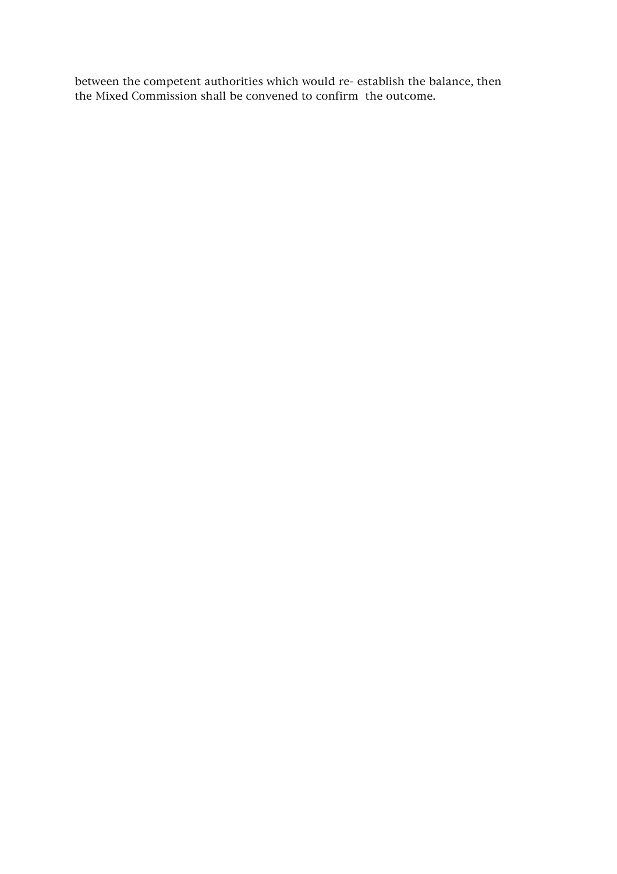between the competent authorities which would re- establish the balance, then the Mixed Commission shall be convened to confirm the outcome.